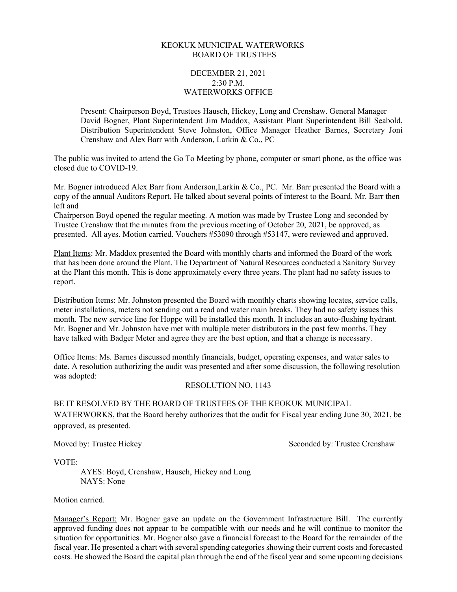## KEOKUK MUNICIPAL WATERWORKS BOARD OF TRUSTEES

## DECEMBER 21, 2021 2:30 P.M. WATERWORKS OFFICE

Present: Chairperson Boyd, Trustees Hausch, Hickey, Long and Crenshaw. General Manager David Bogner, Plant Superintendent Jim Maddox, Assistant Plant Superintendent Bill Seabold, Distribution Superintendent Steve Johnston, Office Manager Heather Barnes, Secretary Joni Crenshaw and Alex Barr with Anderson, Larkin & Co., PC

The public was invited to attend the Go To Meeting by phone, computer or smart phone, as the office was closed due to COVID-19.

Mr. Bogner introduced Alex Barr from Anderson, Larkin & Co., PC. Mr. Barr presented the Board with a copy of the annual Auditors Report. He talked about several points of interest to the Board. Mr. Barr then left and

Chairperson Boyd opened the regular meeting. A motion was made by Trustee Long and seconded by Trustee Crenshaw that the minutes from the previous meeting of October 20, 2021, be approved, as presented. All ayes. Motion carried. Vouchers #53090 through #53147, were reviewed and approved.

Plant Items: Mr. Maddox presented the Board with monthly charts and informed the Board of the work that has been done around the Plant. The Department of Natural Resources conducted a Sanitary Survey at the Plant this month. This is done approximately every three years. The plant had no safety issues to report.

Distribution Items: Mr. Johnston presented the Board with monthly charts showing locates, service calls, meter installations, meters not sending out a read and water main breaks. They had no safety issues this month. The new service line for Hoppe will be installed this month. It includes an auto-flushing hydrant. Mr. Bogner and Mr. Johnston have met with multiple meter distributors in the past few months. They have talked with Badger Meter and agree they are the best option, and that a change is necessary.

Office Items: Ms. Barnes discussed monthly financials, budget, operating expenses, and water sales to date. A resolution authorizing the audit was presented and after some discussion, the following resolution was adopted:

## RESOLUTION NO. 1143

BE IT RESOLVED BY THE BOARD OF TRUSTEES OF THE KEOKUK MUNICIPAL WATERWORKS, that the Board hereby authorizes that the audit for Fiscal year ending June 30, 2021, be approved, as presented.

Moved by: Trustee Hickey Seconded by: Trustee Crenshaw

VOTE:

AYES: Boyd, Crenshaw, Hausch, Hickey and Long NAYS: None

Motion carried.

Manager's Report: Mr. Bogner gave an update on the Government Infrastructure Bill. The currently approved funding does not appear to be compatible with our needs and he will continue to monitor the situation for opportunities. Mr. Bogner also gave a financial forecast to the Board for the remainder of the fiscal year. He presented a chart with several spending categories showing their current costs and forecasted costs. He showed the Board the capital plan through the end of the fiscal year and some upcoming decisions